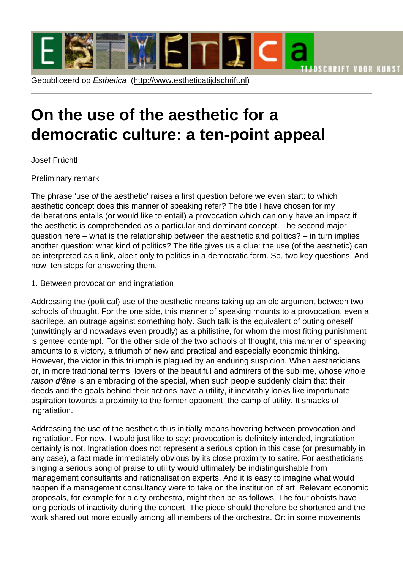# On the use of [the aesthetic for](http://www.estheticatijdschrift.nl) a democratic culture: a ten-point appeal

Josef Früchtl

# Preliminary remark

The phrase 'use of the aesthetic' raises a first question before we even start: to which aesthetic concept does this manner of speaking refer? The title I have chosen for my deliberations entails (or would like to entail) a provocation which can only have an impact if the aesthetic is comprehended as a particular and dominant concept. The second major question here – what is the relationship between the aesthetic and politics? – in turn implies another question: what kind of politics? The title gives us a clue: the use (of the aesthetic) can be interpreted as a link, albeit only to politics in a democratic form. So, two key questions. And now, ten steps for answering them.

## 1. Between provocation and ingratiation

Addressing the (political) use of the aesthetic means taking up an old argument between two schools of thought. For the one side, this manner of speaking mounts to a provocation, even a sacrilege, an outrage against something holy. Such talk is the equivalent of outing oneself (unwittingly and nowadays even proudly) as a philistine, for whom the most fitting punishment is genteel contempt. For the other side of the two schools of thought, this manner of speaking amounts to a victory, a triumph of new and practical and especially economic thinking. However, the victor in this triumph is plagued by an enduring suspicion. When aestheticians or, in more traditional terms, lovers of the beautiful and admirers of the sublime, whose whole raison d'être is an embracing of the special, when such people suddenly claim that their deeds and the goals behind their actions have a utility, it inevitably looks like importunate aspiration towards a proximity to the former opponent, the camp of utility. It smacks of ingratiation.

Addressing the use of the aesthetic thus initially means hovering between provocation and ingratiation. For now, I would just like to say: provocation is definitely intended, ingratiation certainly is not. Ingratiation does not represent a serious option in this case (or presumably in any case), a fact made immediately obvious by its close proximity to satire. For aestheticians singing a serious song of praise to utility would ultimately be indistinguishable from management consultants and rationalisation experts. And it is easy to imagine what would happen if a management consultancy were to take on the institution of art. Relevant economic proposals, for example for a city orchestra, might then be as follows. The four oboists have long periods of inactivity during the concert. The piece should therefore be shortened and the work shared out more equally among all members of the orchestra. Or: in some movements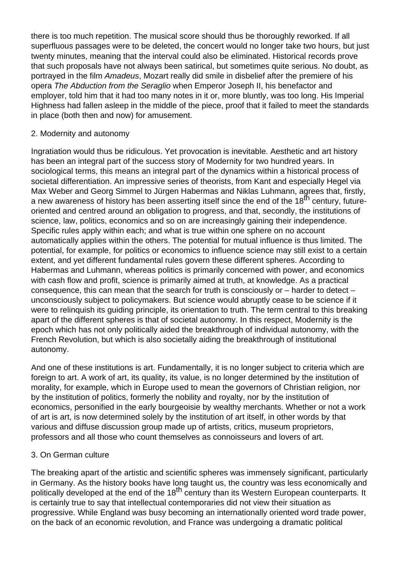there is too much repetition. The musical score should thus be thoroughly reworked. If all superfluous passages were to be deleted, the concert would no longer take two hours, but just twenty minutes, meaning that the interval could also be eliminated. Historical records prove that such proposals have not always been satirical, but sometimes quite serious. No doubt, as portrayed in the film Amadeus, Mozart really did smile in disbelief after the premiere of his opera The Abduction from the Seraglio when Emperor Joseph II, his benefactor and employer, told him that it had too many notes in it or, more bluntly, was too long. His Imperial Highness had fallen asleep in the middle of the piece, proof that it failed to meet the standards in place (both then and now) for amusement.

# 2. Modernity and autonomy

Ingratiation would thus be ridiculous. Yet provocation is inevitable. Aesthetic and art history has been an integral part of the success story of Modernity for two hundred years. In sociological terms, this means an integral part of the dynamics within a historical process of societal differentiation. An impressive series of theorists, from Kant and especially Hegel via Max Weber and Georg Simmel to Jürgen Habermas and Niklas Luhmann, agrees that, firstly, a new awareness of history has been asserting itself since the end of the 18<sup>th</sup> century. futureoriented and centred around an obligation to progress, and that, secondly, the institutions of science, law, politics, economics and so on are increasingly gaining their independence. Specific rules apply within each; and what is true within one sphere on no account automatically applies within the others. The potential for mutual influence is thus limited. The potential, for example, for politics or economics to influence science may still exist to a certain extent, and yet different fundamental rules govern these different spheres. According to Habermas and Luhmann, whereas politics is primarily concerned with power, and economics with cash flow and profit, science is primarily aimed at truth, at knowledge. As a practical consequence, this can mean that the search for truth is consciously or – harder to detect – unconsciously subject to policymakers. But science would abruptly cease to be science if it were to relinquish its guiding principle, its orientation to truth. The term central to this breaking apart of the different spheres is that of societal autonomy. In this respect, Modernity is the epoch which has not only politically aided the breakthrough of individual autonomy, with the French Revolution, but which is also societally aiding the breakthrough of institutional autonomy.

And one of these institutions is art. Fundamentally, it is no longer subject to criteria which are foreign to art. A work of art, its quality, its value, is no longer determined by the institution of morality, for example, which in Europe used to mean the governors of Christian religion, nor by the institution of politics, formerly the nobility and royalty, nor by the institution of economics, personified in the early bourgeoisie by wealthy merchants. Whether or not a work of art is art, is now determined solely by the institution of art itself, in other words by that various and diffuse discussion group made up of artists, critics, museum proprietors, professors and all those who count themselves as connoisseurs and lovers of art.

# 3. On German culture

The breaking apart of the artistic and scientific spheres was immensely significant, particularly in Germany. As the history books have long taught us, the country was less economically and politically developed at the end of the 18<sup>th</sup> century than its Western European counterparts. It is certainly true to say that intellectual contemporaries did not view their situation as progressive. While England was busy becoming an internationally oriented word trade power, on the back of an economic revolution, and France was undergoing a dramatic political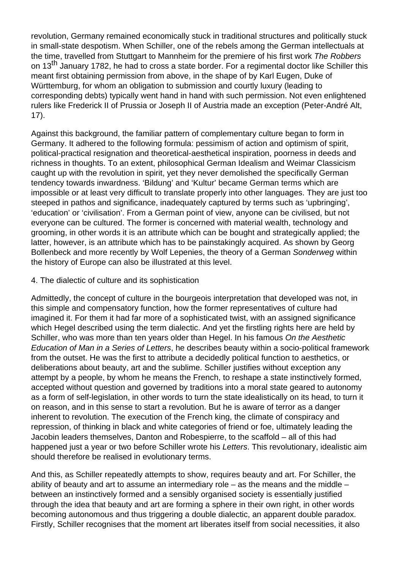revolution, Germany remained economically stuck in traditional structures and politically stuck in small-state despotism. When Schiller, one of the rebels among the German intellectuals at the time, travelled from Stuttgart to Mannheim for the premiere of his first work The Robbers on 13<sup>th</sup> January 1782, he had to cross a state border. For a regimental doctor like Schiller this meant first obtaining permission from above, in the shape of by Karl Eugen, Duke of Württemburg, for whom an obligation to submission and courtly luxury (leading to corresponding debts) typically went hand in hand with such permission. Not even enlightened rulers like Frederick II of Prussia or Joseph II of Austria made an exception (Peter-André Alt, 17).

Against this background, the familiar pattern of complementary culture began to form in Germany. It adhered to the following formula: pessimism of action and optimism of spirit, political-practical resignation and theoretical-aesthetical inspiration, poorness in deeds and richness in thoughts. To an extent, philosophical German Idealism and Weimar Classicism caught up with the revolution in spirit, yet they never demolished the specifically German tendency towards inwardness. 'Bildung' and 'Kultur' became German terms which are impossible or at least very difficult to translate properly into other languages. They are just too steeped in pathos and significance, inadequately captured by terms such as 'upbringing', 'education' or 'civilisation'. From a German point of view, anyone can be civilised, but not everyone can be cultured. The former is concerned with material wealth, technology and grooming, in other words it is an attribute which can be bought and strategically applied; the latter, however, is an attribute which has to be painstakingly acquired. As shown by Georg Bollenbeck and more recently by Wolf Lepenies, the theory of a German Sonderweg within the history of Europe can also be illustrated at this level.

### 4. The dialectic of culture and its sophistication

Admittedly, the concept of culture in the bourgeois interpretation that developed was not, in this simple and compensatory function, how the former representatives of culture had imagined it. For them it had far more of a sophisticated twist, with an assigned significance which Hegel described using the term dialectic. And yet the firstling rights here are held by Schiller, who was more than ten years older than Hegel. In his famous On the Aesthetic Education of Man in a Series of Letters, he describes beauty within a socio-political framework from the outset. He was the first to attribute a decidedly political function to aesthetics, or deliberations about beauty, art and the sublime. Schiller justifies without exception any attempt by a people, by whom he means the French, to reshape a state instinctively formed, accepted without question and governed by traditions into a moral state geared to autonomy as a form of self-legislation, in other words to turn the state idealistically on its head, to turn it on reason, and in this sense to start a revolution. But he is aware of terror as a danger inherent to revolution. The execution of the French king, the climate of conspiracy and repression, of thinking in black and white categories of friend or foe, ultimately leading the Jacobin leaders themselves, Danton and Robespierre, to the scaffold – all of this had happened just a year or two before Schiller wrote his Letters. This revolutionary, idealistic aim should therefore be realised in evolutionary terms.

And this, as Schiller repeatedly attempts to show, requires beauty and art. For Schiller, the ability of beauty and art to assume an intermediary role – as the means and the middle – between an instinctively formed and a sensibly organised society is essentially justified through the idea that beauty and art are forming a sphere in their own right, in other words becoming autonomous and thus triggering a double dialectic, an apparent double paradox. Firstly, Schiller recognises that the moment art liberates itself from social necessities, it also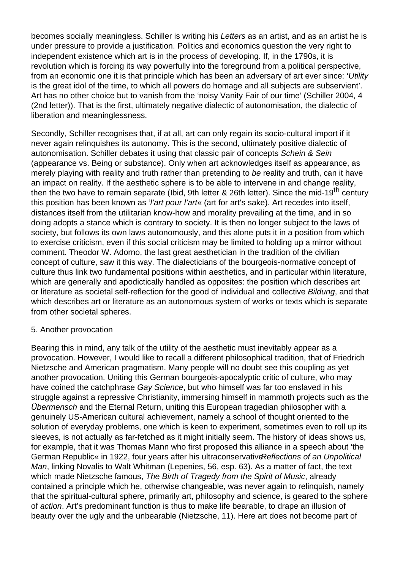becomes socially meaningless. Schiller is writing his Letters as an artist, and as an artist he is under pressure to provide a justification. Politics and economics question the very right to independent existence which art is in the process of developing. If, in the 1790s, it is revolution which is forcing its way powerfully into the foreground from a political perspective, from an economic one it is that principle which has been an adversary of art ever since: 'Utility is the great idol of the time, to which all powers do homage and all subjects are subservient'. Art has no other choice but to vanish from the 'noisy Vanity Fair of our time' (Schiller 2004, 4 (2nd letter)). That is the first, ultimately negative dialectic of autonomisation, the dialectic of liberation and meaninglessness.

Secondly, Schiller recognises that, if at all, art can only regain its socio-cultural import if it never again relinquishes its autonomy. This is the second, ultimately positive dialectic of autonomisation. Schiller debates it using that classic pair of concepts Schein & Sein (appearance vs. Being or substance). Only when art acknowledges itself as appearance, as merely playing with reality and truth rather than pretending to be reality and truth, can it have an impact on reality. If the aesthetic sphere is to be able to intervene in and change reality, then the two have to remain separate (Ibid, 9th letter & 26th letter). Since the mid-19<sup>th</sup> century this position has been known as 'l'art pour l'art« (art for art's sake). Art recedes into itself, distances itself from the utilitarian know-how and morality prevailing at the time, and in so doing adopts a stance which is contrary to society. It is then no longer subject to the laws of society, but follows its own laws autonomously, and this alone puts it in a position from which to exercise criticism, even if this social criticism may be limited to holding up a mirror without comment. Theodor W. Adorno, the last great aesthetician in the tradition of the civilian concept of culture, saw it this way. The dialecticians of the bourgeois-normative concept of culture thus link two fundamental positions within aesthetics, and in particular within literature, which are generally and apodictically handled as opposites: the position which describes art or literature as societal self-reflection for the good of individual and collective Bildung, and that which describes art or literature as an autonomous system of works or texts which is separate from other societal spheres.

### 5. Another provocation

Bearing this in mind, any talk of the utility of the aesthetic must inevitably appear as a provocation. However, I would like to recall a different philosophical tradition, that of Friedrich Nietzsche and American pragmatism. Many people will no doubt see this coupling as yet another provocation. Uniting this German bourgeois-apocalyptic critic of culture, who may have coined the catchphrase Gay Science, but who himself was far too enslaved in his struggle against a repressive Christianity, immersing himself in mammoth projects such as the Übermensch and the Eternal Return, uniting this European tragedian philosopher with a genuinely US-American cultural achievement, namely a school of thought oriented to the solution of everyday problems, one which is keen to experiment, sometimes even to roll up its sleeves, is not actually as far-fetched as it might initially seem. The history of ideas shows us, for example, that it was Thomas Mann who first proposed this alliance in a speech about 'the German Republic« in 1922, four years after his ultraconservative Reflections of an Unpolitical Man, linking Novalis to Walt Whitman (Lepenies, 56, esp. 63). As a matter of fact, the text which made Nietzsche famous, The Birth of Tragedy from the Spirit of Music, already contained a principle which he, otherwise changeable, was never again to relinquish, namely that the spiritual-cultural sphere, primarily art, philosophy and science, is geared to the sphere of action. Art's predominant function is thus to make life bearable, to drape an illusion of beauty over the ugly and the unbearable (Nietzsche, 11). Here art does not become part of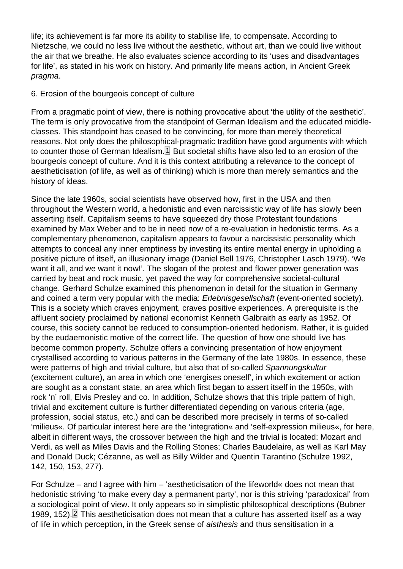<span id="page-4-0"></span>life; its achievement is far more its ability to stabilise life, to compensate. According to Nietzsche, we could no less live without the aesthetic, without art, than we could live without the air that we breathe. He also evaluates science according to its 'uses and disadvantages for life', as stated in his work on history. And primarily life means action, in Ancient Greek pragma.

## 6. Erosion of the bourgeois concept of culture

From a pragmatic point of view, there is nothing provocative about 'the utility of the aesthetic'. The term is only provocative from the standpoint of German Idealism and the educated middleclasses. This standpoint has ceased to be convincing, for more than merely theoretical reasons. Not only does the philosophical-pragmatic tradition have good arguments with which to counter those of German Idealism. $\mathbb{1}$  But societal shifts have also led to an erosion of the bourgeois concept of culture. And it is this context attributing a relevance to the concept of aestheticisation (of life, as well as of thinking) which is more than merely semantics and the history of ideas.

Since the late 1960s, social scientists have observed how, first in the USA and then throughout the Western world, a hedonistic and even narcissistic way of life has slowly been asserting itself. Capitalism seems to have squeezed dry those Protestant foundations examined by Max Weber and to be in need now of a re-evaluation in hedonistic terms. As a complementary phenomenon, capitalism appears to favour a narcissistic personality which attempts to conceal any inner emptiness by investing its entire mental energy in upholding a positive picture of itself, an illusionary image (Daniel Bell 1976, Christopher Lasch 1979). 'We want it all, and we want it now!'. The slogan of the protest and flower power generation was carried by beat and rock music, yet paved the way for comprehensive societal-cultural change. Gerhard Schulze examined this phenomenon in detail for the situation in Germany and coined a term very popular with the media: Erlebnisgesellschaft (event-oriented society). This is a society which craves enjoyment, craves positive experiences. A prerequisite is the affluent society proclaimed by national economist Kenneth Galbraith as early as 1952. Of course, this society cannot be reduced to consumption-oriented hedonism. Rather, it is guided by the eudaemonistic motive of the correct life. The question of how one should live has become common property. Schulze offers a convincing presentation of how enjoyment crystallised according to various patterns in the Germany of the late 1980s. In essence, these were patterns of high and trivial culture, but also that of so-called Spannungskultur (excitement culture), an area in which one 'energises oneself', in which excitement or action are sought as a constant state, an area which first began to assert itself in the 1950s, with rock 'n' roll, Elvis Presley and co. In addition, Schulze shows that this triple pattern of high, trivial and excitement culture is further differentiated depending on various criteria (age, profession, social status, etc.) and can be described more precisely in terms of so-called 'milieus«. Of particular interest here are the 'integration« and 'self-expression milieus«, for here, albeit in different ways, the crossover between the high and the trivial is located: Mozart and Verdi, as well as Miles Davis and the Rolling Stones; Charles Baudelaire, as well as Karl May and Donald Duck; Cézanne, as well as Billy Wilder and Quentin Tarantino (Schulze 1992, 142, 150, 153, 277).

For Schulze – and I agree with him – 'aestheticisation of the lifeworld« does not mean that hedonistic striving 'to make every day a permanent party', nor is this striving 'paradoxical' from a sociological point of view. It only appears so in simplistic philosophical descriptions (Bubner 1989, 152). <sup>2</sup> This aestheticisation does not mean that a culture has asserted itself as a way of life in which perception, in the Greek sense of aisthesis and thus sensitisation in a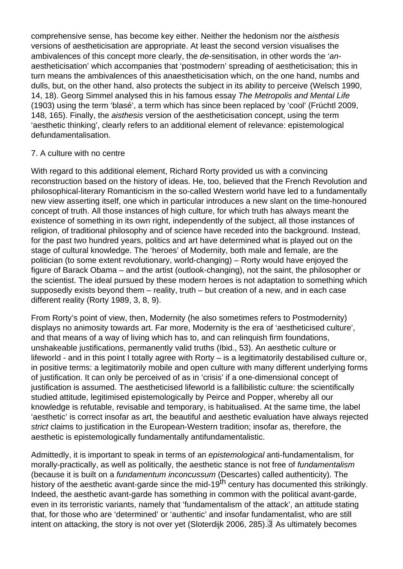<span id="page-5-0"></span>comprehensive sense, has become key either. Neither the hedonism nor the aisthesis versions of aestheticisation are appropriate. At least the second version visualises the ambivalences of this concept more clearly, the de-sensitisation, in other words the 'anaestheticisation' which accompanies that 'postmodern' spreading of aestheticisation; this in turn means the ambivalences of this anaestheticisation which, on the one hand, numbs and dulls, but, on the other hand, also protects the subject in its ability to perceive (Welsch 1990, 14, 18). Georg Simmel analysed this in his famous essay The Metropolis and Mental Life (1903) using the term 'blasé', a term which has since been replaced by 'cool' (Früchtl 2009, 148, 165). Finally, the aisthesis version of the aestheticisation concept, using the term 'aesthetic thinking', clearly refers to an additional element of relevance: epistemological defundamentalisation.

## 7. A culture with no centre

With regard to this additional element, Richard Rorty provided us with a convincing reconstruction based on the history of ideas. He, too, believed that the French Revolution and philosophical-literary Romanticism in the so-called Western world have led to a fundamentally new view asserting itself, one which in particular introduces a new slant on the time-honoured concept of truth. All those instances of high culture, for which truth has always meant the existence of something in its own right, independently of the subject, all those instances of religion, of traditional philosophy and of science have receded into the background. Instead, for the past two hundred years, politics and art have determined what is played out on the stage of cultural knowledge. The 'heroes' of Modernity, both male and female, are the politician (to some extent revolutionary, world-changing) – Rorty would have enjoyed the figure of Barack Obama – and the artist (outlook-changing), not the saint, the philosopher or the scientist. The ideal pursued by these modern heroes is not adaptation to something which supposedly exists beyond them – reality, truth – but creation of a new, and in each case different reality (Rorty 1989, 3, 8, 9).

From Rorty's point of view, then, Modernity (he also sometimes refers to Postmodernity) displays no animosity towards art. Far more, Modernity is the era of 'aestheticised culture', and that means of a way of living which has to, and can relinquish firm foundations, unshakeable justifications, permanently valid truths (Ibid., 53). An aesthetic culture or lifeworld - and in this point I totally agree with Rorty – is a legitimatorily destabilised culture or, in positive terms: a legitimatorily mobile and open culture with many different underlying forms of justification. It can only be perceived of as in 'crisis' if a one-dimensional concept of justification is assumed. The aestheticised lifeworld is a fallibilistic culture: the scientifically studied attitude, legitimised epistemologically by Peirce and Popper, whereby all our knowledge is refutable, revisable and temporary, is habitualised. At the same time, the label 'aesthetic' is correct insofar as art, the beautiful and aesthetic evaluation have always rejected strict claims to justification in the European-Western tradition; insofar as, therefore, the aesthetic is epistemologically fundamentally antifundamentalistic.

Admittedly, it is important to speak in terms of an epistemological anti-fundamentalism, for morally-practically, as well as politically, the aesthetic stance is not free of fundamentalism (because it is built on a fundamentum inconcussum (Descartes) called authenticity). The history of the aesthetic avant-garde since the mid-19<sup>th</sup> century has documented this strikingly. Indeed, the aesthetic avant-garde has something in common with the political avant-garde, even in its terroristic variants, namely that 'fundamentalism of the attack', an attitude stating that, for those who are 'determined' or 'authentic' and insofar fundamentalist, who are still intent on attacking, the story is not over yet (Sloterdijk 2006, 285).<sup>[3]</sup> As ultimately becomes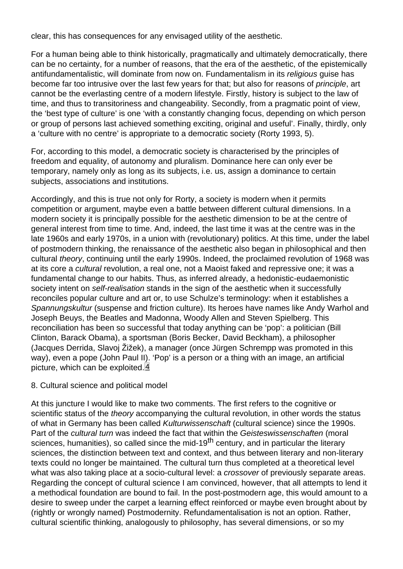<span id="page-6-0"></span>clear, this has consequences for any envisaged utility of the aesthetic.

For a human being able to think historically, pragmatically and ultimately democratically, there can be no certainty, for a number of reasons, that the era of the aesthetic, of the epistemically antifundamentalistic, will dominate from now on. Fundamentalism in its religious guise has become far too intrusive over the last few years for that; but also for reasons of principle, art cannot be the everlasting centre of a modern lifestyle. Firstly, history is subject to the law of time, and thus to transitoriness and changeability. Secondly, from a pragmatic point of view, the 'best type of culture' is one 'with a constantly changing focus, depending on which person or group of persons last achieved something exciting, original and useful'. Finally, thirdly, only a 'culture with no centre' is appropriate to a democratic society (Rorty 1993, 5).

For, according to this model, a democratic society is characterised by the principles of freedom and equality, of autonomy and pluralism. Dominance here can only ever be temporary, namely only as long as its subjects, i.e. us, assign a dominance to certain subjects, associations and institutions.

Accordingly, and this is true not only for Rorty, a society is modern when it permits competition or argument, maybe even a battle between different cultural dimensions. In a modern society it is principally possible for the aesthetic dimension to be at the centre of general interest from time to time. And, indeed, the last time it was at the centre was in the late 1960s and early 1970s, in a union with (revolutionary) politics. At this time, under the label of postmodern thinking, the renaissance of the aesthetic also began in philosophical and then cultural theory, continuing until the early 1990s. Indeed, the proclaimed revolution of 1968 was at its core a cultural revolution, a real one, not a Maoist faked and repressive one; it was a fundamental change to our habits. Thus, as inferred already, a hedonistic-eudaemonistic society intent on self-realisation stands in the sign of the aesthetic when it successfully reconciles popular culture and art or, to use Schulze's terminology: when it establishes a Spannungskultur (suspense and friction culture). Its heroes have names like Andy Warhol and Joseph Beuys, the Beatles and Madonna, Woody Allen and Steven Spielberg. This reconciliation has been so successful that today anything can be 'pop': a politician (Bill Clinton, Barack Obama), a sportsman (Boris Becker, David Beckham), a philosopher (Jacques Derrida, Slavoj Žižek), a manager (once Jürgen Schrempp was promoted in this way), even a pope (John Paul II). 'Pop' is a person or a thing with an image, an artificial picture, which can be exploited.<sup>[4]</sup>

### 8. Cultural science and political model

At this juncture I would like to make two comments. The first refers to the cognitive or scientific status of the theory accompanying the cultural revolution, in other words the status of what in Germany has been called Kulturwissenschaft (cultural science) since the 1990s. Part of the cultural turn was indeed the fact that within the Geisteswissenschaften (moral sciences, humanities), so called since the mid-19<sup>th</sup> century, and in particular the literary sciences, the distinction between text and context, and thus between literary and non-literary texts could no longer be maintained. The cultural turn thus completed at a theoretical level what was also taking place at a socio-cultural level: a crossover of previously separate areas. Regarding the concept of cultural science I am convinced, however, that all attempts to lend it a methodical foundation are bound to fail. In the post-postmodern age, this would amount to a desire to sweep under the carpet a learning effect reinforced or maybe even brought about by (rightly or wrongly named) Postmodernity. Refundamentalisation is not an option. Rather, cultural scientific thinking, analogously to philosophy, has several dimensions, or so my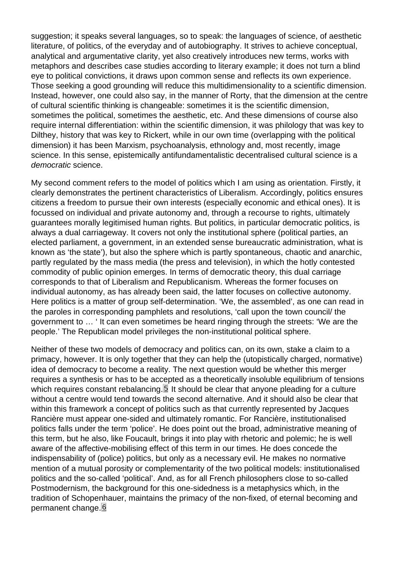<span id="page-7-0"></span>suggestion; it speaks several languages, so to speak: the languages of science, of aesthetic literature, of politics, of the everyday and of autobiography. It strives to achieve conceptual, analytical and argumentative clarity, yet also creatively introduces new terms, works with metaphors and describes case studies according to literary example; it does not turn a blind eye to political convictions, it draws upon common sense and reflects its own experience. Those seeking a good grounding will reduce this multidimensionality to a scientific dimension. Instead, however, one could also say, in the manner of Rorty, that the dimension at the centre of cultural scientific thinking is changeable: sometimes it is the scientific dimension, sometimes the political, sometimes the aesthetic, etc. And these dimensions of course also require internal differentiation: within the scientific dimension, it was philology that was key to Dilthey, history that was key to Rickert, while in our own time (overlapping with the political dimension) it has been Marxism, psychoanalysis, ethnology and, most recently, image science. In this sense, epistemically antifundamentalistic decentralised cultural science is a democratic science.

My second comment refers to the model of politics which I am using as orientation. Firstly, it clearly demonstrates the pertinent characteristics of Liberalism. Accordingly, politics ensures citizens a freedom to pursue their own interests (especially economic and ethical ones). It is focussed on individual and private autonomy and, through a recourse to rights, ultimately guarantees morally legitimised human rights. But politics, in particular democratic politics, is always a dual carriageway. It covers not only the institutional sphere (political parties, an elected parliament, a government, in an extended sense bureaucratic administration, what is known as 'the state'), but also the sphere which is partly spontaneous, chaotic and anarchic, partly regulated by the mass media (the press and television), in which the hotly contested commodity of public opinion emerges. In terms of democratic theory, this dual carriage corresponds to that of Liberalism and Republicanism. Whereas the former focuses on individual autonomy, as has already been said, the latter focuses on collective autonomy. Here politics is a matter of group self-determination. 'We, the assembled', as one can read in the paroles in corresponding pamphlets and resolutions, 'call upon the town council/ the government to … ' It can even sometimes be heard ringing through the streets: 'We are the people.' The Republican model privileges the non-institutional political sphere.

Neither of these two models of democracy and politics can, on its own, stake a claim to a primacy, however. It is only together that they can help the (utopistically charged, normative) idea of democracy to become a reality. The next question would be whether this merger requires a synthesis or has to be accepted as a theoretically insoluble equilibrium of tensions which requires constant rebalancing. $5$  It should be clear that anyone pleading for a culture without a centre would tend towards the second alternative. And it should also be clear that within this framework a concept of politics such as that currently represented by Jacques Rancière must appear one-sided and ultimately romantic. For Rancière, institutionalised politics falls under the term 'police'. He does point out the broad, administrative meaning of this term, but he also, like Foucault, brings it into play with rhetoric and polemic; he is well aware of the affective-mobilising effect of this term in our times. He does concede the indispensability of (police) politics, but only as a necessary evil. He makes no normative mention of a mutual porosity or complementarity of the two political models: institutionalised politics and the so-called 'political'. And, as for all French philosophers close to so-called Postmodernism, the background for this one-sidedness is a metaphysics which, in the tradition of Schopenhauer, maintains the primacy of the non-fixed, of eternal becoming and permanent change.<sup>6</sup>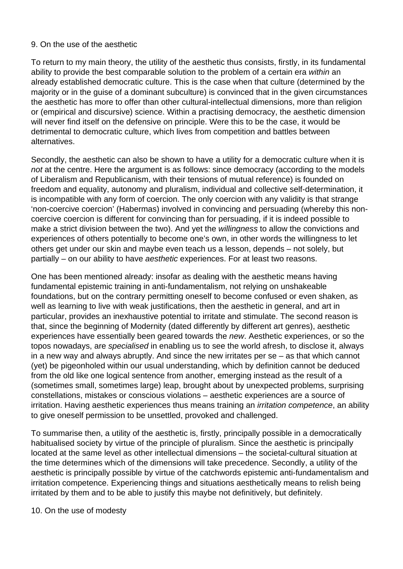# 9. On the use of the aesthetic

To return to my main theory, the utility of the aesthetic thus consists, firstly, in its fundamental ability to provide the best comparable solution to the problem of a certain era within an already established democratic culture. This is the case when that culture (determined by the majority or in the guise of a dominant subculture) is convinced that in the given circumstances the aesthetic has more to offer than other cultural-intellectual dimensions, more than religion or (empirical and discursive) science. Within a practising democracy, the aesthetic dimension will never find itself on the defensive on principle. Were this to be the case, it would be detrimental to democratic culture, which lives from competition and battles between alternatives.

Secondly, the aesthetic can also be shown to have a utility for a democratic culture when it is not at the centre. Here the argument is as follows: since democracy (according to the models of Liberalism and Republicanism, with their tensions of mutual reference) is founded on freedom and equality, autonomy and pluralism, individual and collective self-determination, it is incompatible with any form of coercion. The only coercion with any validity is that strange 'non-coercive coercion' (Habermas) involved in convincing and persuading (whereby this noncoercive coercion is different for convincing than for persuading, if it is indeed possible to make a strict division between the two). And yet the willingness to allow the convictions and experiences of others potentially to become one's own, in other words the willingness to let others get under our skin and maybe even teach us a lesson, depends – not solely, but partially – on our ability to have aesthetic experiences. For at least two reasons.

One has been mentioned already: insofar as dealing with the aesthetic means having fundamental epistemic training in anti-fundamentalism, not relying on unshakeable foundations, but on the contrary permitting oneself to become confused or even shaken, as well as learning to live with weak justifications, then the aesthetic in general, and art in particular, provides an inexhaustive potential to irritate and stimulate. The second reason is that, since the beginning of Modernity (dated differently by different art genres), aesthetic experiences have essentially been geared towards the new. Aesthetic experiences, or so the topos nowadays, are specialised in enabling us to see the world afresh, to disclose it, always in a new way and always abruptly. And since the new irritates per se – as that which cannot (yet) be pigeonholed within our usual understanding, which by definition cannot be deduced from the old like one logical sentence from another, emerging instead as the result of a (sometimes small, sometimes large) leap, brought about by unexpected problems, surprising constellations, mistakes or conscious violations – aesthetic experiences are a source of irritation. Having aesthetic experiences thus means training an *irritation competence*, an ability to give oneself permission to be unsettled, provoked and challenged.

To summarise then, a utility of the aesthetic is, firstly, principally possible in a democratically habitualised society by virtue of the principle of pluralism. Since the aesthetic is principally located at the same level as other intellectual dimensions – the societal-cultural situation at the time determines which of the dimensions will take precedence. Secondly, a utility of the aesthetic is principally possible by virtue of the catchwords epistemic anti-fundamentalism and irritation competence. Experiencing things and situations aesthetically means to relish being irritated by them and to be able to justify this maybe not definitively, but definitely.

### 10. On the use of modesty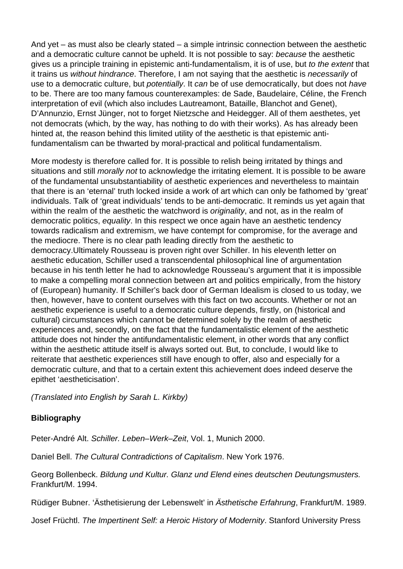And yet – as must also be clearly stated – a simple intrinsic connection between the aesthetic and a democratic culture cannot be upheld. It is not possible to say: because the aesthetic gives us a principle training in epistemic anti-fundamentalism, it is of use, but to the extent that it trains us without hindrance. Therefore, I am not saying that the aesthetic is necessarily of use to a democratic culture, but potentially. It can be of use democratically, but does not have to be. There are too many famous counterexamples: de Sade, Baudelaire, Céline, the French interpretation of evil (which also includes Lautreamont, Bataille, Blanchot and Genet), D'Annunzio, Ernst Jünger, not to forget Nietzsche and Heidegger. All of them aesthetes, yet not democrats (which, by the way, has nothing to do with their works). As has already been hinted at, the reason behind this limited utility of the aesthetic is that epistemic antifundamentalism can be thwarted by moral-practical and political fundamentalism.

More modesty is therefore called for. It is possible to relish being irritated by things and situations and still *morally not* to acknowledge the irritating element. It is possible to be aware of the fundamental unsubstantiability of aesthetic experiences and nevertheless to maintain that there is an 'eternal' truth locked inside a work of art which can only be fathomed by 'great' individuals. Talk of 'great individuals' tends to be anti-democratic. It reminds us yet again that within the realm of the aesthetic the watchword is *originality*, and not, as in the realm of democratic politics, equality. In this respect we once again have an aesthetic tendency towards radicalism and extremism, we have contempt for compromise, for the average and the mediocre. There is no clear path leading directly from the aesthetic to democracy.Ultimately Rousseau is proven right over Schiller. In his eleventh letter on aesthetic education, Schiller used a transcendental philosophical line of argumentation because in his tenth letter he had to acknowledge Rousseau's argument that it is impossible to make a compelling moral connection between art and politics empirically, from the history of (European) humanity. If Schiller's back door of German Idealism is closed to us today, we then, however, have to content ourselves with this fact on two accounts. Whether or not an aesthetic experience is useful to a democratic culture depends, firstly, on (historical and cultural) circumstances which cannot be determined solely by the realm of aesthetic experiences and, secondly, on the fact that the fundamentalistic element of the aesthetic attitude does not hinder the antifundamentalistic element, in other words that any conflict within the aesthetic attitude itself is always sorted out. But, to conclude, I would like to reiterate that aesthetic experiences still have enough to offer, also and especially for a democratic culture, and that to a certain extent this achievement does indeed deserve the epithet 'aestheticisation'.

(Translated into English by Sarah L. Kirkby)

# **Bibliography**

Peter-André Alt. Schiller. Leben–Werk–Zeit, Vol. 1, Munich 2000.

Daniel Bell. The Cultural Contradictions of Capitalism. New York 1976.

Georg Bollenbeck. Bildung und Kultur. Glanz und Elend eines deutschen Deutungsmusters. Frankfurt/M. 1994.

Rüdiger Bubner. 'Ästhetisierung der Lebenswelt' in Ästhetische Erfahrung, Frankfurt/M. 1989.

Josef Früchtl. The Impertinent Self: a Heroic History of Modernity. Stanford University Press